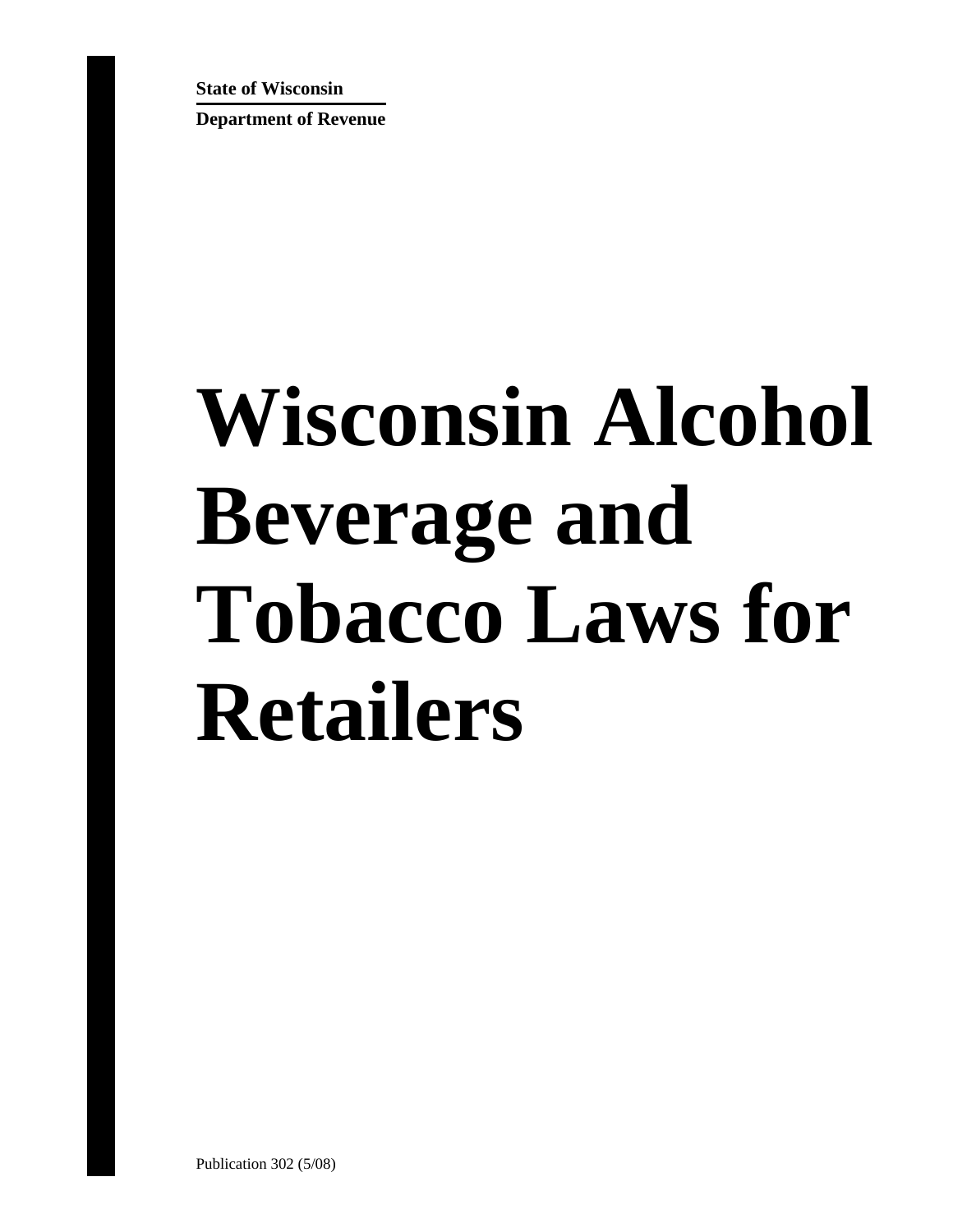**State of Wisconsin** 

**Department of Revenue**

# **Wisconsin Alcohol Beverage and Tobacco Laws for Retailers**

Publication 302 (5/08)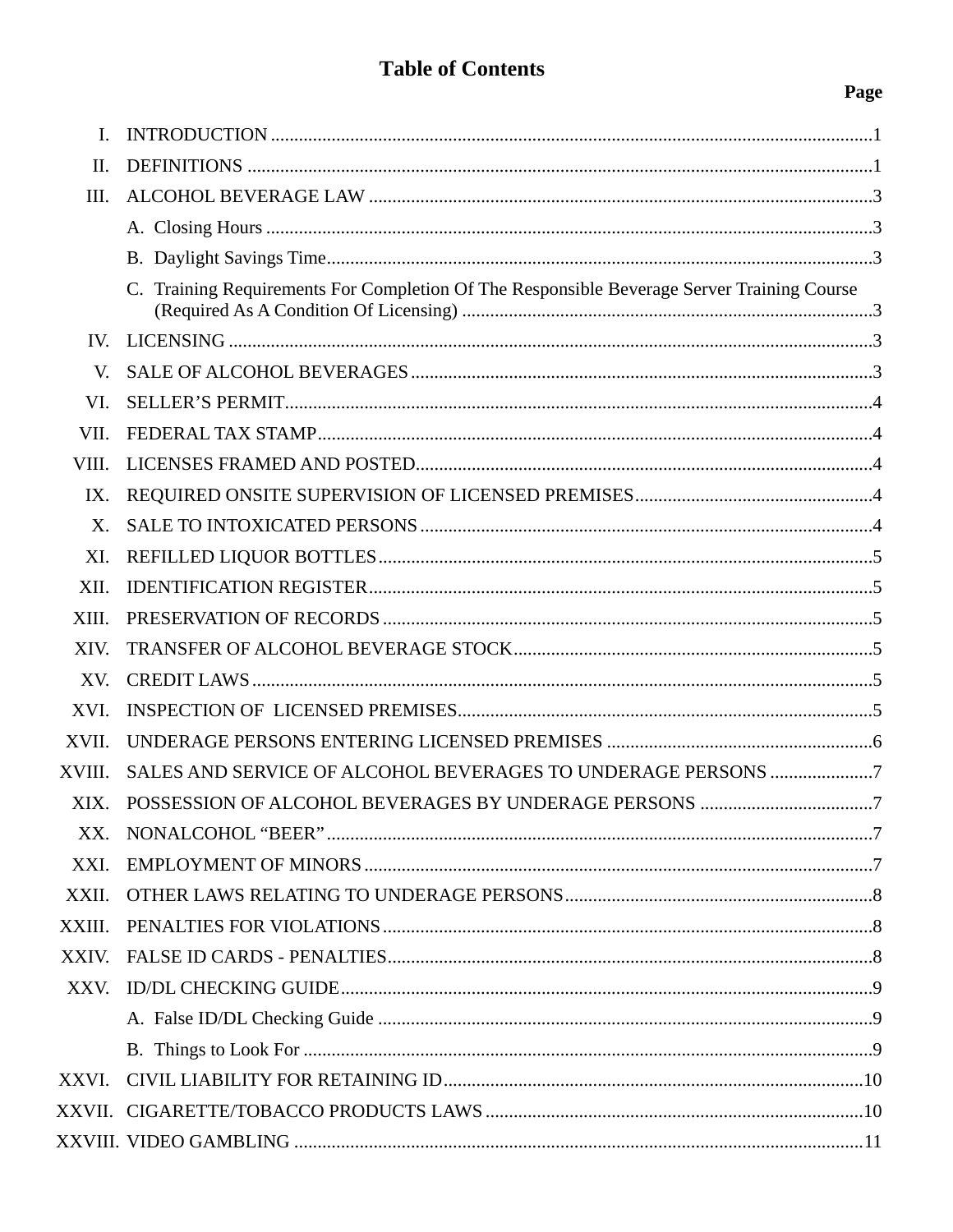# **Table of Contents**

# Page

| I.          |                                                                                            |  |
|-------------|--------------------------------------------------------------------------------------------|--|
| II.         |                                                                                            |  |
| III.        |                                                                                            |  |
|             |                                                                                            |  |
|             |                                                                                            |  |
|             | C. Training Requirements For Completion Of The Responsible Beverage Server Training Course |  |
| IV.         |                                                                                            |  |
| V.          |                                                                                            |  |
| VI.         |                                                                                            |  |
| VII.        |                                                                                            |  |
| VIII.       |                                                                                            |  |
| IX.         |                                                                                            |  |
| $X_{\cdot}$ |                                                                                            |  |
| XI.         |                                                                                            |  |
| XII.        |                                                                                            |  |
| XIII.       |                                                                                            |  |
| XIV.        |                                                                                            |  |
| XV.         |                                                                                            |  |
| XVI.        |                                                                                            |  |
| XVII.       |                                                                                            |  |
| XVIII.      | SALES AND SERVICE OF ALCOHOL BEVERAGES TO UNDERAGE PERSONS 7                               |  |
| XIX.        |                                                                                            |  |
| XX.         |                                                                                            |  |
| XXI.        |                                                                                            |  |
| XXII.       |                                                                                            |  |
| XXIII.      |                                                                                            |  |
| XXIV.       |                                                                                            |  |
|             |                                                                                            |  |
|             |                                                                                            |  |
|             |                                                                                            |  |
| XXVI.       |                                                                                            |  |
|             |                                                                                            |  |
|             |                                                                                            |  |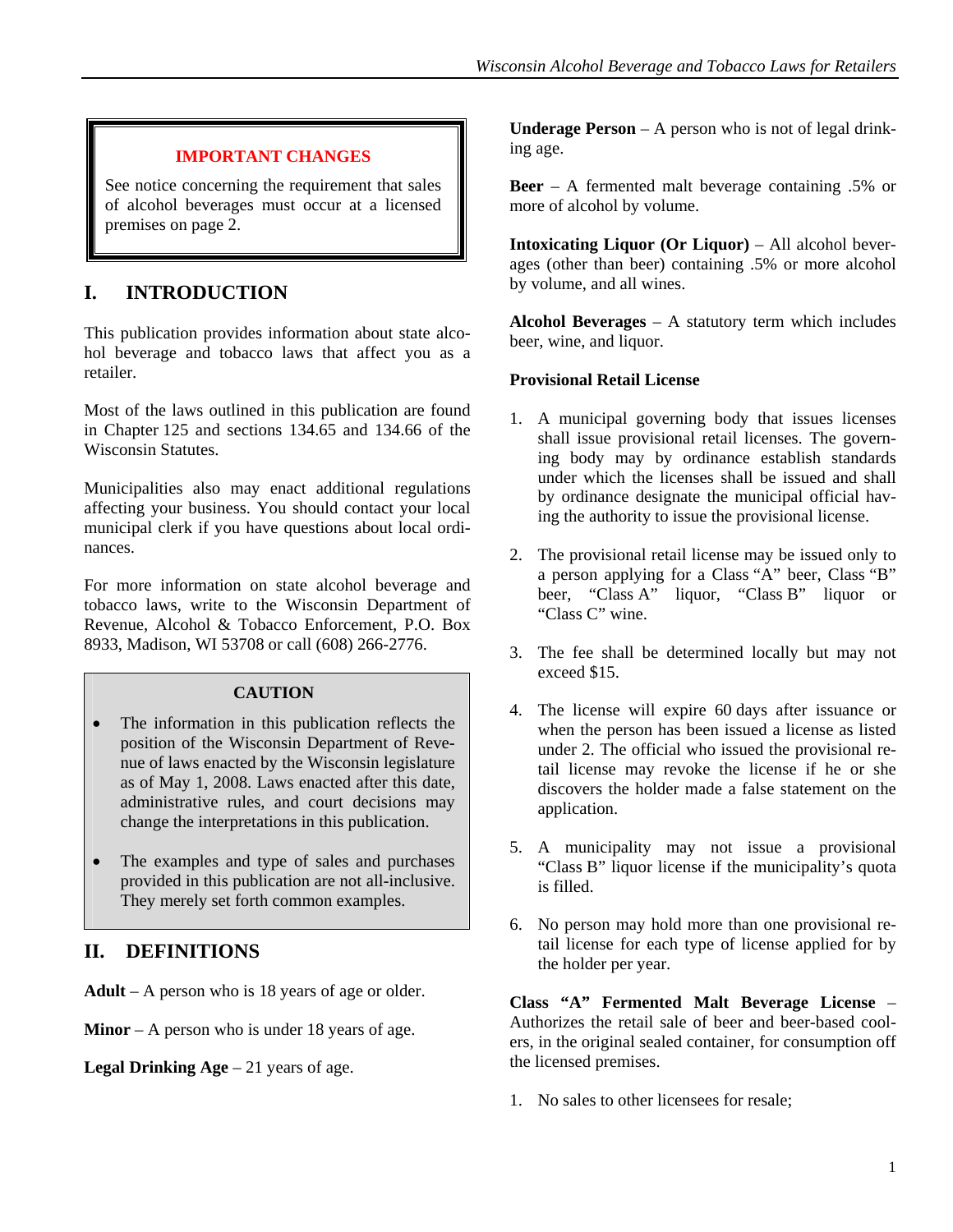#### **IMPORTANT CHANGES**

See notice concerning the requirement that sales of alcohol beverages must occur at a licensed premises on page 2.

# <span id="page-2-0"></span>**I. INTRODUCTION**

This publication provides information about state alcohol beverage and tobacco laws that affect you as a retailer.

Most of the laws outlined in this publication are found in Chapter 125 and sections 134.65 and 134.66 of the Wisconsin Statutes.

Municipalities also may enact additional regulations affecting your business. You should contact your local municipal clerk if you have questions about local ordinances.

For more information on state alcohol beverage and tobacco laws, write to the Wisconsin Department of Revenue, Alcohol & Tobacco Enforcement, P.O. Box 8933, Madison, WI 53708 or call (608) 266-2776.

#### **CAUTION**

- The information in this publication reflects the position of the Wisconsin Department of Revenue of laws enacted by the Wisconsin legislature as of May 1, 2008. Laws enacted after this date, administrative rules, and court decisions may change the interpretations in this publication.
- The examples and type of sales and purchases provided in this publication are not all-inclusive. They merely set forth common examples.

## <span id="page-2-1"></span>**II. DEFINITIONS**

**Adult** – A person who is 18 years of age or older.

**Minor** – A person who is under 18 years of age.

**Legal Drinking Age** – 21 years of age.

**Underage Person** – A person who is not of legal drinking age.

**Beer** – A fermented malt beverage containing .5% or more of alcohol by volume.

**Intoxicating Liquor (Or Liquor)** – All alcohol beverages (other than beer) containing .5% or more alcohol by volume, and all wines.

**Alcohol Beverages** – A statutory term which includes beer, wine, and liquor.

#### **Provisional Retail License**

- 1. A municipal governing body that issues licenses shall issue provisional retail licenses. The governing body may by ordinance establish standards under which the licenses shall be issued and shall by ordinance designate the municipal official having the authority to issue the provisional license.
- 2. The provisional retail license may be issued only to a person applying for a Class "A" beer, Class "B" beer, "Class A" liquor, "Class B" liquor or "Class C" wine.
- 3. The fee shall be determined locally but may not exceed \$15.
- 4. The license will expire 60 days after issuance or when the person has been issued a license as listed under 2. The official who issued the provisional retail license may revoke the license if he or she discovers the holder made a false statement on the application.
- 5. A municipality may not issue a provisional "Class B" liquor license if the municipality's quota is filled.
- 6. No person may hold more than one provisional retail license for each type of license applied for by the holder per year.

**Class "A" Fermented Malt Beverage License** – Authorizes the retail sale of beer and beer-based coolers, in the original sealed container, for consumption off the licensed premises.

1. No sales to other licensees for resale;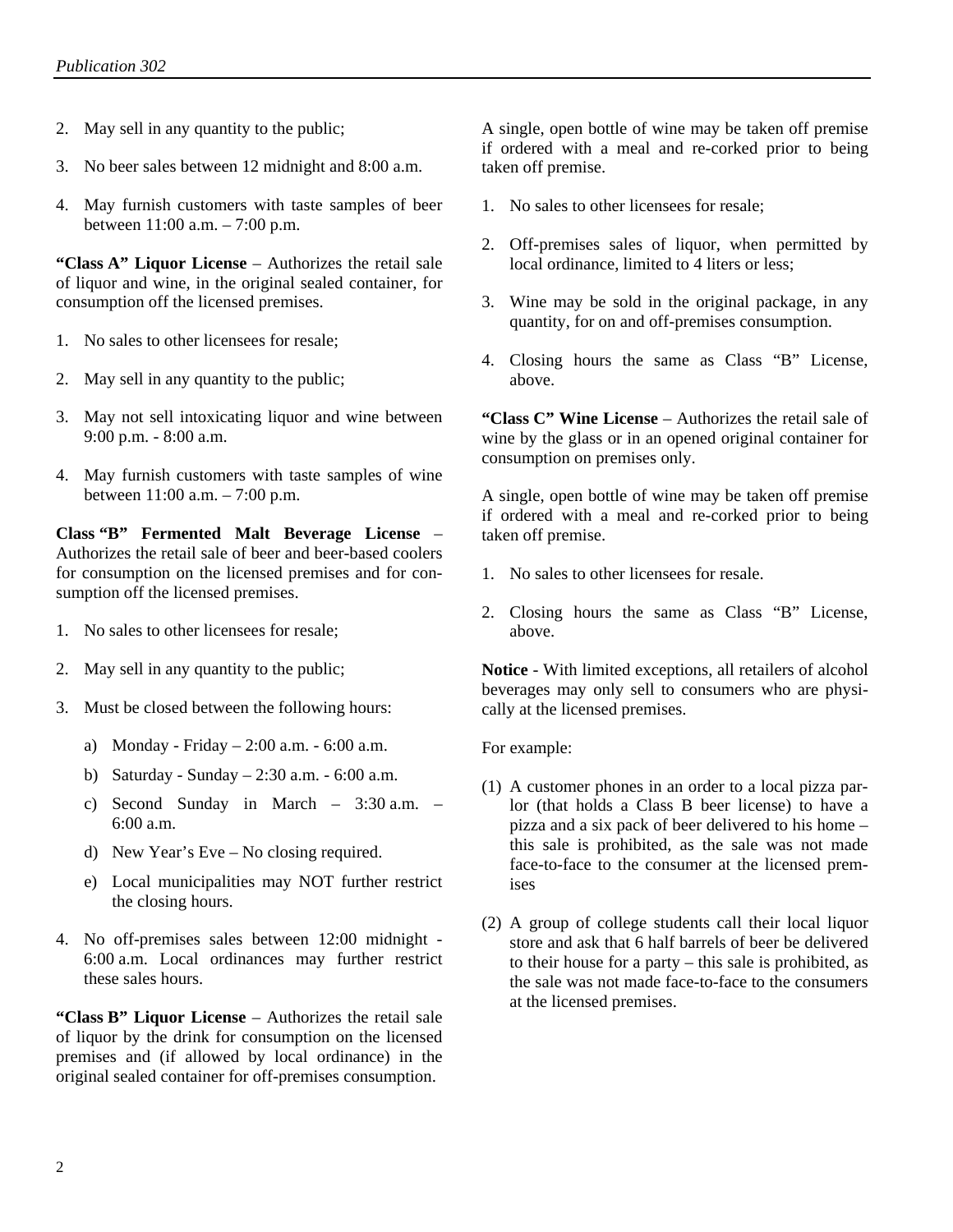- 2. May sell in any quantity to the public;
- 3. No beer sales between 12 midnight and 8:00 a.m.
- 4. May furnish customers with taste samples of beer between 11:00 a.m. – 7:00 p.m.

**"Class A" Liquor License** – Authorizes the retail sale of liquor and wine, in the original sealed container, for consumption off the licensed premises.

- 1. No sales to other licensees for resale;
- 2. May sell in any quantity to the public;
- 3. May not sell intoxicating liquor and wine between 9:00 p.m. - 8:00 a.m.
- 4. May furnish customers with taste samples of wine between 11:00 a.m. – 7:00 p.m.

**Class "B" Fermented Malt Beverage License** – Authorizes the retail sale of beer and beer-based coolers for consumption on the licensed premises and for consumption off the licensed premises.

- 1. No sales to other licensees for resale;
- 2. May sell in any quantity to the public;
- 3. Must be closed between the following hours:
	- a) Monday Friday 2:00 a.m. 6:00 a.m.
	- b) Saturday Sunday 2:30 a.m. 6:00 a.m.
	- c) Second Sunday in March 3:30 a.m. 6:00 a.m.
	- d) New Year's Eve No closing required.
	- e) Local municipalities may NOT further restrict the closing hours.
- 4. No off-premises sales between 12:00 midnight 6:00 a.m. Local ordinances may further restrict these sales hours.

**"Class B" Liquor License** – Authorizes the retail sale of liquor by the drink for consumption on the licensed premises and (if allowed by local ordinance) in the original sealed container for off-premises consumption.

A single, open bottle of wine may be taken off premise if ordered with a meal and re-corked prior to being taken off premise.

- 1. No sales to other licensees for resale;
- 2. Off-premises sales of liquor, when permitted by local ordinance, limited to 4 liters or less;
- 3. Wine may be sold in the original package, in any quantity, for on and off-premises consumption.
- 4. Closing hours the same as Class "B" License, above.

**"Class C" Wine License** – Authorizes the retail sale of wine by the glass or in an opened original container for consumption on premises only.

A single, open bottle of wine may be taken off premise if ordered with a meal and re-corked prior to being taken off premise.

- 1. No sales to other licensees for resale.
- 2. Closing hours the same as Class "B" License, above.

**Notice** - With limited exceptions, all retailers of alcohol beverages may only sell to consumers who are physically at the licensed premises.

For example:

- (1) A customer phones in an order to a local pizza parlor (that holds a Class B beer license) to have a pizza and a six pack of beer delivered to his home – this sale is prohibited, as the sale was not made face-to-face to the consumer at the licensed premises
- (2) A group of college students call their local liquor store and ask that 6 half barrels of beer be delivered to their house for a party – this sale is prohibited, as the sale was not made face-to-face to the consumers at the licensed premises.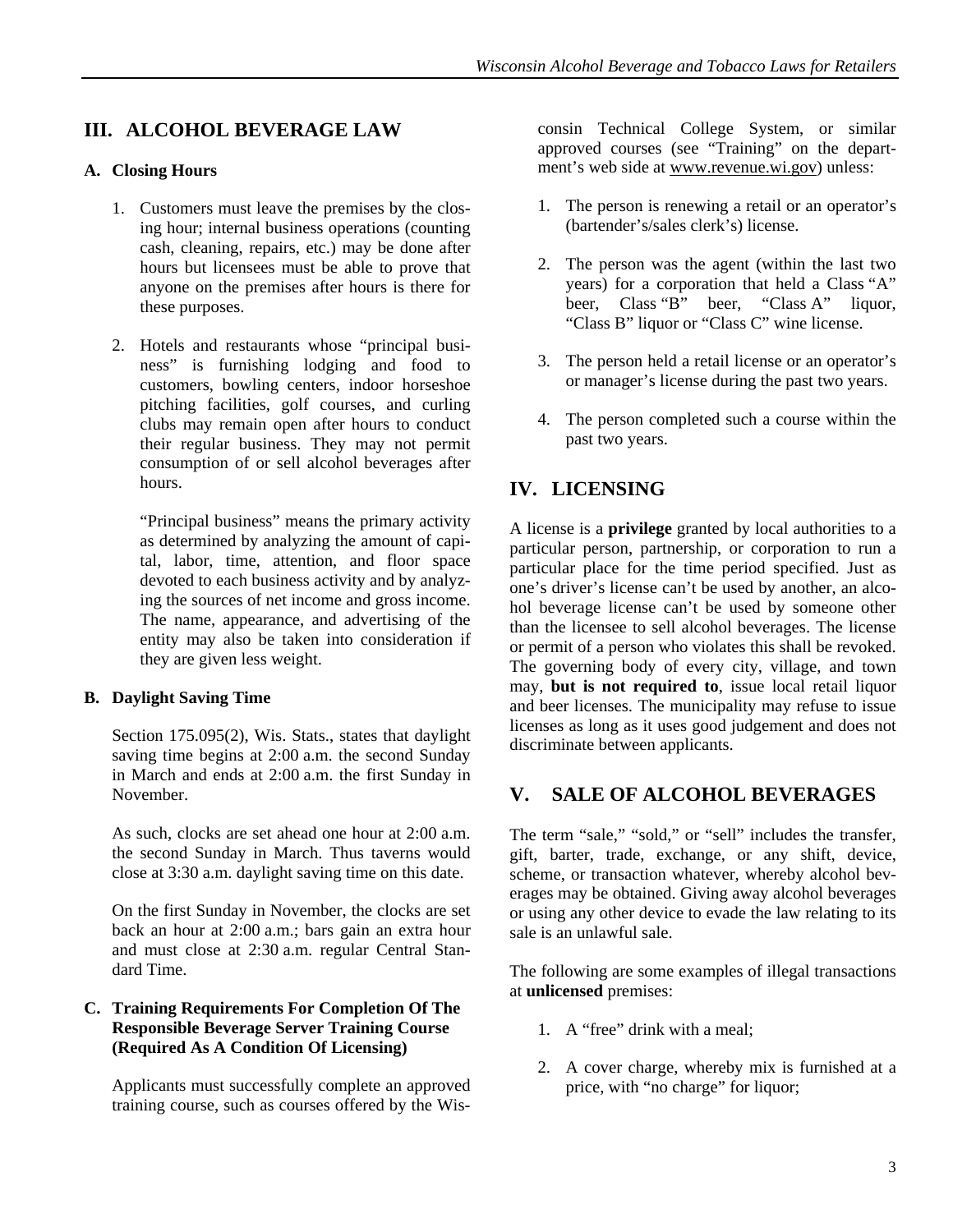## <span id="page-4-0"></span>**III. ALCOHOL BEVERAGE LAW**

#### <span id="page-4-1"></span>**A. Closing Hours**

- 1. Customers must leave the premises by the closing hour; internal business operations (counting cash, cleaning, repairs, etc.) may be done after hours but licensees must be able to prove that anyone on the premises after hours is there for these purposes.
- 2. Hotels and restaurants whose "principal business" is furnishing lodging and food to customers, bowling centers, indoor horseshoe pitching facilities, golf courses, and curling clubs may remain open after hours to conduct their regular business. They may not permit consumption of or sell alcohol beverages after hours.

<span id="page-4-4"></span>"Principal business" means the primary activity as determined by analyzing the amount of capital, labor, time, attention, and floor space devoted to each business activity and by analyzing the sources of net income and gross income. The name, appearance, and advertising of the entity may also be taken into consideration if they are given less weight.

#### <span id="page-4-2"></span>**B. Daylight Saving Time**

Section 175.095(2), Wis. Stats., states that daylight saving time begins at 2:00 a.m. the second Sunday in March and ends at 2:00 a.m. the first Sunday in November.

<span id="page-4-5"></span>As such, clocks are set ahead one hour at 2:00 a.m. the second Sunday in March. Thus taverns would close at 3:30 a.m. daylight saving time on this date.

On the first Sunday in November, the clocks are set back an hour at 2:00 a.m.; bars gain an extra hour and must close at 2:30 a.m. regular Central Standard Time.

#### <span id="page-4-3"></span>**C. Training Requirements For Completion Of The Responsible Beverage Server Training Course (Required As A Condition Of Licensing)**

Applicants must successfully complete an approved training course, such as courses offered by the Wisconsin Technical College System, or similar approved courses (see "Training" on the department's web side at www.revenue.wi.gov) unless:

- 1. The person is renewing a retail or an operator's (bartender's/sales clerk's) license.
- 2. The person was the agent (within the last two years) for a corporation that held a Class "A" beer, Class "B" beer, "Class A" liquor, "Class B" liquor or "Class C" wine license.
- 3. The person held a retail license or an operator's or manager's license during the past two years.
- 4. The person completed such a course within the past two years.

## **IV. LICENSING**

A license is a **privilege** granted by local authorities to a particular person, partnership, or corporation to run a particular place for the time period specified. Just as one's driver's license can't be used by another, an alcohol beverage license can't be used by someone other than the licensee to sell alcohol beverages. The license or permit of a person who violates this shall be revoked. The governing body of every city, village, and town may, **but is not required to**, issue local retail liquor and beer licenses. The municipality may refuse to issue licenses as long as it uses good judgement and does not discriminate between applicants.

## **V. SALE OF ALCOHOL BEVERAGES**

The term "sale," "sold," or "sell" includes the transfer, gift, barter, trade, exchange, or any shift, device, scheme, or transaction whatever, whereby alcohol beverages may be obtained. Giving away alcohol beverages or using any other device to evade the law relating to its sale is an unlawful sale.

The following are some examples of illegal transactions at **unlicensed** premises:

- 1. A "free" drink with a meal;
- 2. A cover charge, whereby mix is furnished at a price, with "no charge" for liquor;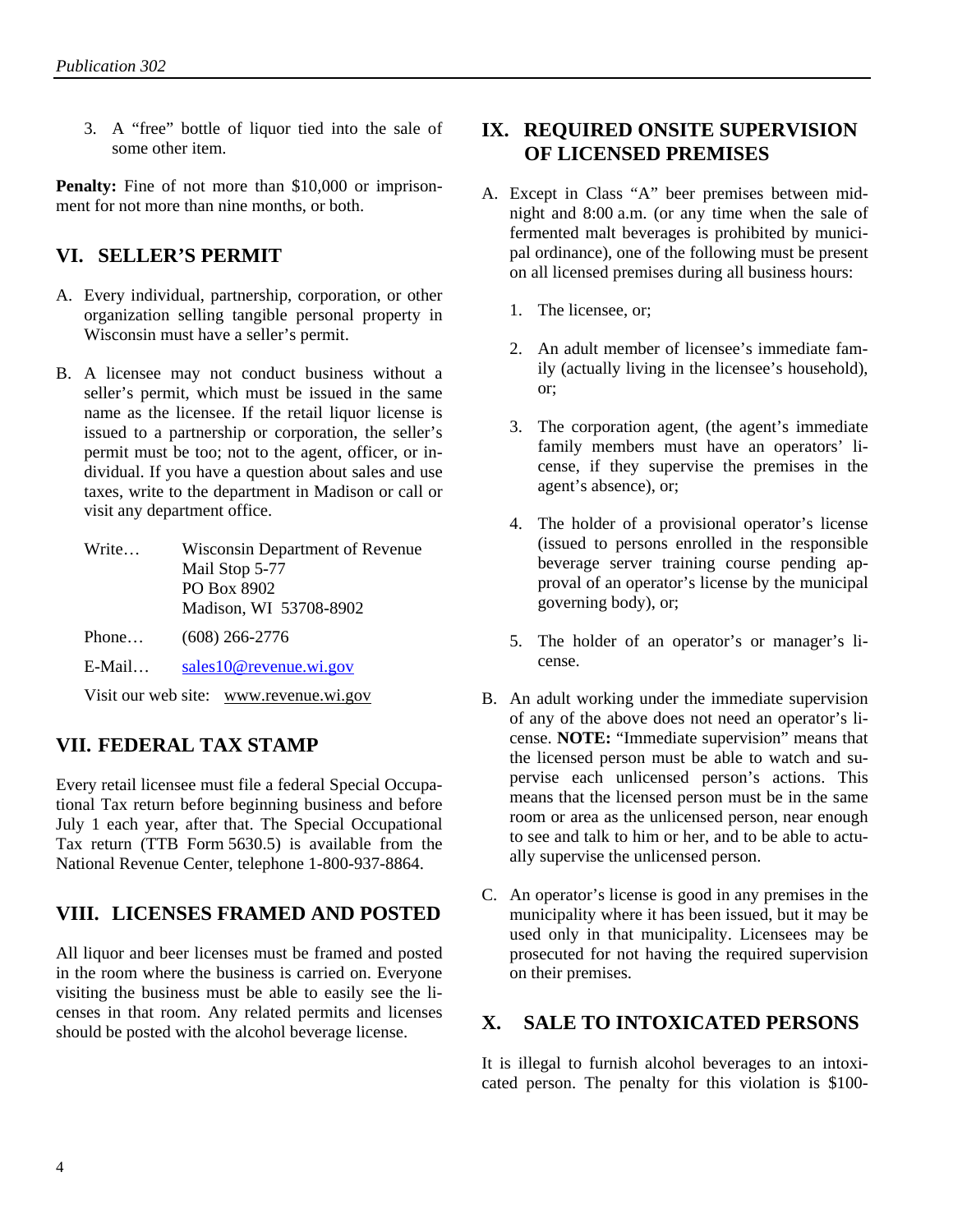3. A "free" bottle of liquor tied into the sale of some other item.

<span id="page-5-3"></span>**Penalty:** Fine of not more than \$10,000 or imprisonment for not more than nine months, or both.

## <span id="page-5-0"></span>**VI. SELLER'S PERMIT**

- A. Every individual, partnership, corporation, or other organization selling tangible personal property in Wisconsin must have a seller's permit.
- B. A licensee may not conduct business without a seller's permit, which must be issued in the same name as the licensee. If the retail liquor license is issued to a partnership or corporation, the seller's permit must be too; not to the agent, officer, or individual. If you have a question about sales and use taxes, write to the department in Madison or call or visit any department office.
	- Write… Wisconsin Department of Revenue Mail Stop 5-77 PO Box 8902 Madison, WI 53708-8902
	- Phone… (608) 266-2776
	- E-Mail… [sales10@revenue.wi.gov](mailto:sales10@revenue.wi.gov)

Visit our web site: www.revenue.wi.gov

## <span id="page-5-1"></span>**VII. FEDERAL TAX STAMP**

Every retail licensee must file a federal Special Occupational Tax return before beginning business and before July 1 each year, after that. The Special Occupational Tax return (TTB Form 5630.5) is available from the National Revenue Center, telephone 1-800-937-8864.

#### <span id="page-5-2"></span>**VIII. LICENSES FRAMED AND POSTED**

<span id="page-5-4"></span>All liquor and beer licenses must be framed and posted in the room where the business is carried on. Everyone visiting the business must be able to easily see the licenses in that room. Any related permits and licenses should be posted with the alcohol beverage license.

#### **IX. REQUIRED ONSITE SUPERVISION OF LICENSED PREMISES**

- A. Except in Class "A" beer premises between midnight and 8:00 a.m. (or any time when the sale of fermented malt beverages is prohibited by municipal ordinance), one of the following must be present on all licensed premises during all business hours:
	- 1. The licensee, or;
	- 2. An adult member of licensee's immediate family (actually living in the licensee's household), or;
	- 3. The corporation agent, (the agent's immediate family members must have an operators' license, if they supervise the premises in the agent's absence), or;
	- 4. The holder of a provisional operator's license (issued to persons enrolled in the responsible beverage server training course pending approval of an operator's license by the municipal governing body), or;
	- 5. The holder of an operator's or manager's license.
- B. An adult working under the immediate supervision of any of the above does not need an operator's license. **NOTE:** "Immediate supervision" means that the licensed person must be able to watch and supervise each unlicensed person's actions. This means that the licensed person must be in the same room or area as the unlicensed person, near enough to see and talk to him or her, and to be able to actually supervise the unlicensed person.
- C. An operator's license is good in any premises in the municipality where it has been issued, but it may be used only in that municipality. Licensees may be prosecuted for not having the required supervision on their premises.

## **X. SALE TO INTOXICATED PERSONS**

It is illegal to furnish alcohol beverages to an intoxicated person. The penalty for this violation is \$100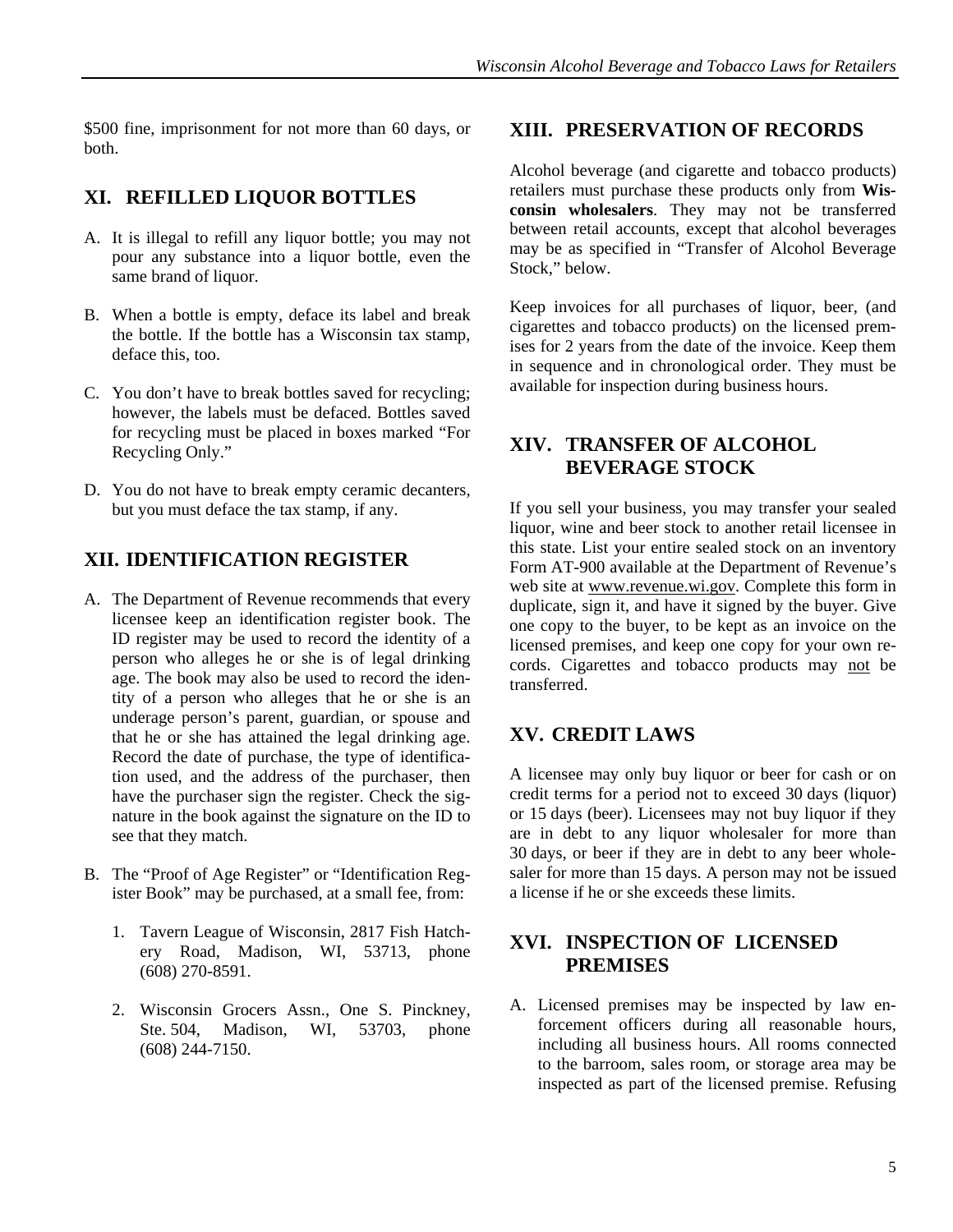<span id="page-6-2"></span>\$500 fine, imprisonment for not more than 60 days, or both.

#### <span id="page-6-0"></span>**XI. REFILLED LIQUOR BOTTLES**

- A. It is illegal to refill any liquor bottle; you may not pour any substance into a liquor bottle, even the same brand of liquor.
- B. When a bottle is empty, deface its label and break the bottle. If the bottle has a Wisconsin tax stamp, deface this, too.
- C. You don't have to break bottles saved for recycling; however, the labels must be defaced. Bottles saved for recycling must be placed in boxes marked "For Recycling Only."
- <span id="page-6-3"></span>D. You do not have to break empty ceramic decanters, but you must deface the tax stamp, if any.

## <span id="page-6-1"></span>**XII. IDENTIFICATION REGISTER**

- <span id="page-6-4"></span>A. The Department of Revenue recommends that every licensee keep an identification register book. The ID register may be used to record the identity of a person who alleges he or she is of legal drinking age. The book may also be used to record the identity of a person who alleges that he or she is an underage person's parent, guardian, or spouse and that he or she has attained the legal drinking age. Record the date of purchase, the type of identification used, and the address of the purchaser, then have the purchaser sign the register. Check the signature in the book against the signature on the ID to see that they match.
- <span id="page-6-5"></span>B. The "Proof of Age Register" or "Identification Register Book" may be purchased, at a small fee, from:
	- 1. Tavern League of Wisconsin, 2817 Fish Hatchery Road, Madison, WI, 53713, phone (608) 270-8591.
	- 2. Wisconsin Grocers Assn., One S. Pinckney, Ste. 504, Madison, WI, 53703, phone (608) 244-7150.

#### **XIII. PRESERVATION OF RECORDS**

Alcohol beverage (and cigarette and tobacco products) retailers must purchase these products only from **Wisconsin wholesalers**. They may not be transferred between retail accounts, except that alcohol beverages may be as specified in "Transfer of Alcohol Beverage Stock," below.

Keep invoices for all purchases of liquor, beer, (and cigarettes and tobacco products) on the licensed premises for 2 years from the date of the invoice. Keep them in sequence and in chronological order. They must be available for inspection during business hours.

#### **XIV. TRANSFER OF ALCOHOL BEVERAGE STOCK**

If you sell your business, you may transfer your sealed liquor, wine and beer stock to another retail licensee in this state. List your entire sealed stock on an inventory Form AT-900 available at the Department of Revenue's web site at www.revenue.wi.gov. Complete this form in duplicate, sign it, and have it signed by the buyer. Give one copy to the buyer, to be kept as an invoice on the licensed premises, and keep one copy for your own records. Cigarettes and tobacco products may not be transferred.

## **XV. CREDIT LAWS**

A licensee may only buy liquor or beer for cash or on credit terms for a period not to exceed 30 days (liquor) or 15 days (beer). Licensees may not buy liquor if they are in debt to any liquor wholesaler for more than 30 days, or beer if they are in debt to any beer wholesaler for more than 15 days. A person may not be issued a license if he or she exceeds these limits.

## **XVI. INSPECTION OF LICENSED PREMISES**

A. Licensed premises may be inspected by law enforcement officers during all reasonable hours, including all business hours. All rooms connected to the barroom, sales room, or storage area may be inspected as part of the licensed premise. Refusing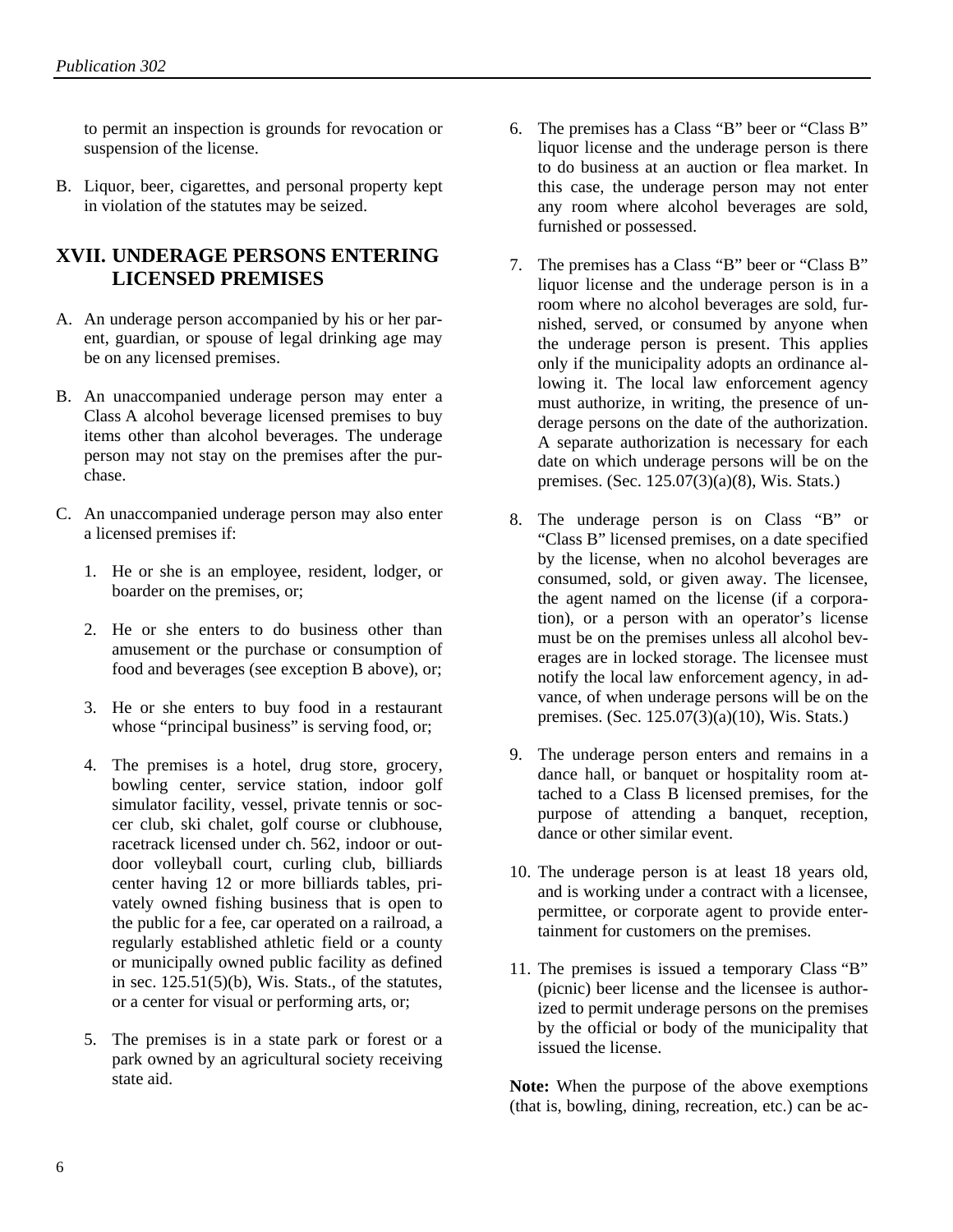to permit an inspection is grounds for revocation or suspension of the license.

B. Liquor, beer, cigarettes, and personal property kept in violation of the statutes may be seized.

#### <span id="page-7-0"></span>**XVII. UNDERAGE PERSONS ENTERING LICENSED PREMISES**

- A. An underage person accompanied by his or her parent, guardian, or spouse of legal drinking age may be on any licensed premises.
- B. An unaccompanied underage person may enter a Class A alcohol beverage licensed premises to buy items other than alcohol beverages. The underage person may not stay on the premises after the purchase.
- C. An unaccompanied underage person may also enter a licensed premises if:
	- 1. He or she is an employee, resident, lodger, or boarder on the premises, or;
	- 2. He or she enters to do business other than amusement or the purchase or consumption of food and beverages (see exception B above), or;
	- 3. He or she enters to buy food in a restaurant whose "principal business" is serving food, or;
	- 4. The premises is a hotel, drug store, grocery, bowling center, service station, indoor golf simulator facility, vessel, private tennis or soccer club, ski chalet, golf course or clubhouse, racetrack licensed under ch. 562, indoor or outdoor volleyball court, curling club, billiards center having 12 or more billiards tables, privately owned fishing business that is open to the public for a fee, car operated on a railroad, a regularly established athletic field or a county or municipally owned public facility as defined in sec.  $125.51(5)(b)$ , Wis. Stats., of the statutes, or a center for visual or performing arts, or;
	- 5. The premises is in a state park or forest or a park owned by an agricultural society receiving state aid.
- 6. The premises has a Class "B" beer or "Class B" liquor license and the underage person is there to do business at an auction or flea market. In this case, the underage person may not enter any room where alcohol beverages are sold, furnished or possessed.
- 7. The premises has a Class "B" beer or "Class B" liquor license and the underage person is in a room where no alcohol beverages are sold, furnished, served, or consumed by anyone when the underage person is present. This applies only if the municipality adopts an ordinance allowing it. The local law enforcement agency must authorize, in writing, the presence of underage persons on the date of the authorization. A separate authorization is necessary for each date on which underage persons will be on the premises. (Sec. 125.07(3)(a)(8), Wis. Stats.)
- 8. The underage person is on Class "B" or "Class B" licensed premises, on a date specified by the license, when no alcohol beverages are consumed, sold, or given away. The licensee, the agent named on the license (if a corporation), or a person with an operator's license must be on the premises unless all alcohol beverages are in locked storage. The licensee must notify the local law enforcement agency, in advance, of when underage persons will be on the premises. (Sec. 125.07(3)(a)(10), Wis. Stats.)
- 9. The underage person enters and remains in a dance hall, or banquet or hospitality room attached to a Class B licensed premises, for the purpose of attending a banquet, reception, dance or other similar event.
- 10. The underage person is at least 18 years old, and is working under a contract with a licensee, permittee, or corporate agent to provide entertainment for customers on the premises.
- 11. The premises is issued a temporary Class "B" (picnic) beer license and the licensee is authorized to permit underage persons on the premises by the official or body of the municipality that issued the license.

**Note:** When the purpose of the above exemptions (that is, bowling, dining, recreation, etc.) can be ac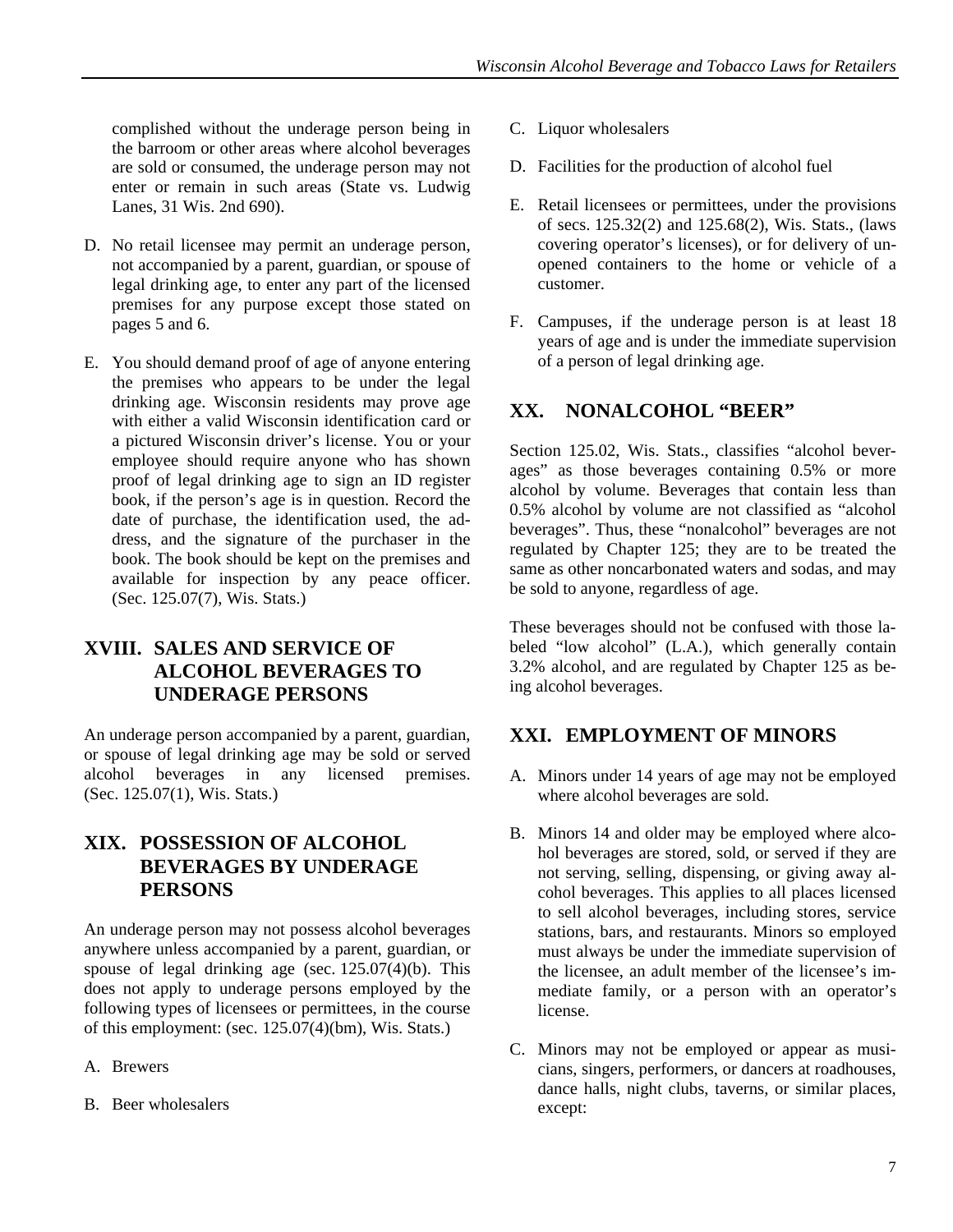complished without the underage person being in the barroom or other areas where alcohol beverages are sold or consumed, the underage person may not enter or remain in such areas (State vs. Ludwig Lanes, 31 Wis. 2nd 690).

- D. No retail licensee may permit an underage person, not accompanied by a parent, guardian, or spouse of legal drinking age, to enter any part of the licensed premises for any purpose except those stated on pages 5 and 6.
- <span id="page-8-2"></span>E. You should demand proof of age of anyone entering the premises who appears to be under the legal drinking age. Wisconsin residents may prove age with either a valid Wisconsin identification card or a pictured Wisconsin driver's license. You or your employee should require anyone who has shown proof of legal drinking age to sign an ID register book, if the person's age is in question. Record the date of purchase, the identification used, the address, and the signature of the purchaser in the book. The book should be kept on the premises and available for inspection by any peace officer. (Sec. 125.07(7), Wis. Stats.)

# <span id="page-8-0"></span>**XVIII. SALES AND SERVICE OF ALCOHOL BEVERAGES TO UNDERAGE PERSONS**

<span id="page-8-3"></span>An underage person accompanied by a parent, guardian, or spouse of legal drinking age may be sold or served alcohol beverages in any licensed premises. (Sec. 125.07(1), Wis. Stats.)

## <span id="page-8-1"></span>**XIX. POSSESSION OF ALCOHOL BEVERAGES BY UNDERAGE PERSONS**

An underage person may not possess alcohol beverages anywhere unless accompanied by a parent, guardian, or spouse of legal drinking age (sec.  $125.07(4)(b)$ ). This does not apply to underage persons employed by the following types of licensees or permittees, in the course of this employment: (sec.  $125.07(4)$ (bm), Wis. Stats.)

- A. Brewers
- B. Beer wholesalers
- C. Liquor wholesalers
- D. Facilities for the production of alcohol fuel
- E. Retail licensees or permittees, under the provisions of secs. 125.32(2) and 125.68(2), Wis. Stats., (laws covering operator's licenses), or for delivery of unopened containers to the home or vehicle of a customer.
- F. Campuses, if the underage person is at least 18 years of age and is under the immediate supervision of a person of legal drinking age.

# **XX. NONALCOHOL "BEER"**

Section 125.02, Wis. Stats., classifies "alcohol beverages" as those beverages containing 0.5% or more alcohol by volume. Beverages that contain less than 0.5% alcohol by volume are not classified as "alcohol beverages". Thus, these "nonalcohol" beverages are not regulated by Chapter 125; they are to be treated the same as other noncarbonated waters and sodas, and may be sold to anyone, regardless of age.

These beverages should not be confused with those labeled "low alcohol" (L.A.), which generally contain 3.2% alcohol, and are regulated by Chapter 125 as being alcohol beverages.

# **XXI. EMPLOYMENT OF MINORS**

- A. Minors under 14 years of age may not be employed where alcohol beverages are sold.
- B. Minors 14 and older may be employed where alcohol beverages are stored, sold, or served if they are not serving, selling, dispensing, or giving away alcohol beverages. This applies to all places licensed to sell alcohol beverages, including stores, service stations, bars, and restaurants. Minors so employed must always be under the immediate supervision of the licensee, an adult member of the licensee's immediate family, or a person with an operator's license.
- C. Minors may not be employed or appear as musicians, singers, performers, or dancers at roadhouses, dance halls, night clubs, taverns, or similar places, except: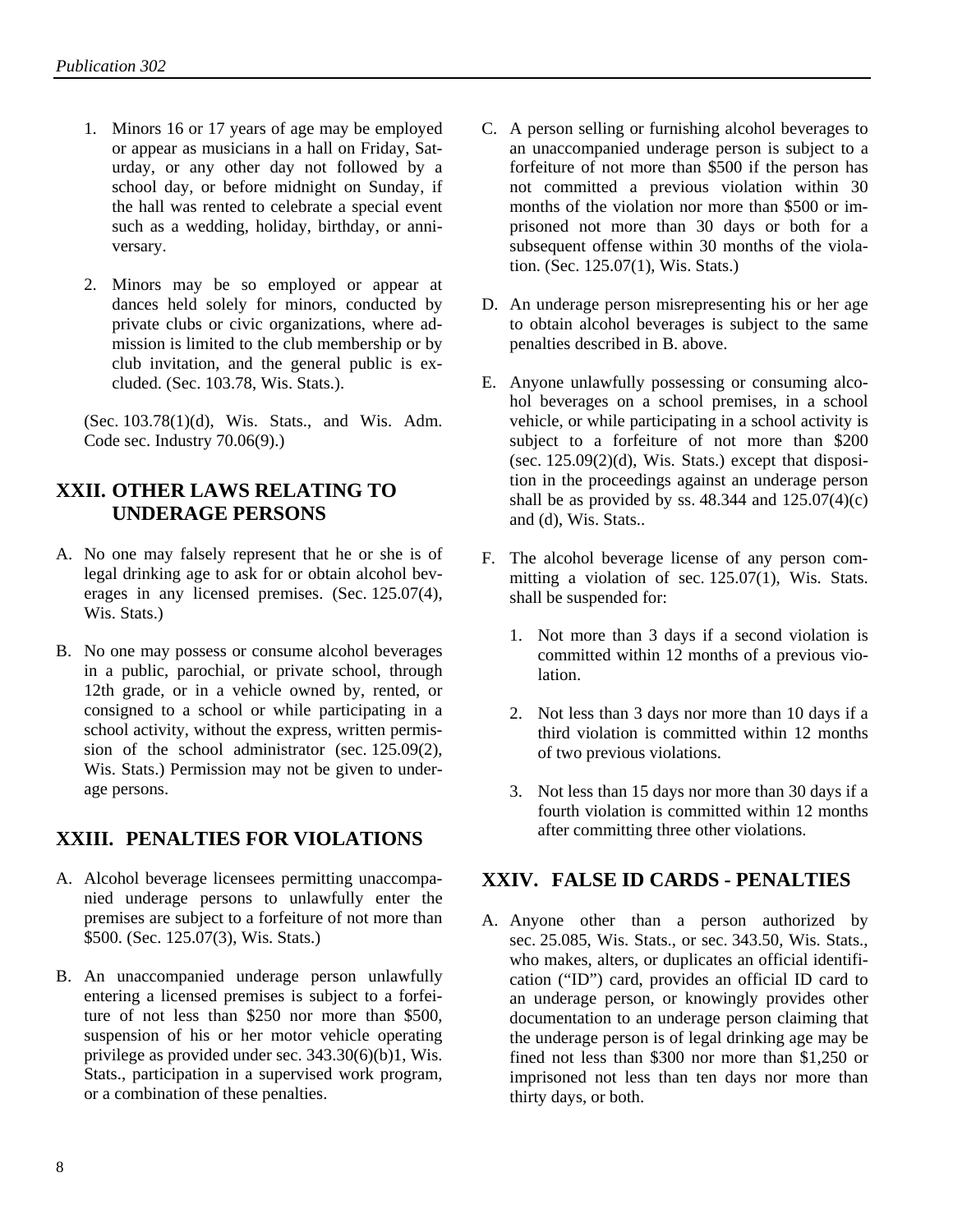- 1. Minors 16 or 17 years of age may be employed or appear as musicians in a hall on Friday, Saturday, or any other day not followed by a school day, or before midnight on Sunday, if the hall was rented to celebrate a special event such as a wedding, holiday, birthday, or anniversary.
- 2. Minors may be so employed or appear at dances held solely for minors, conducted by private clubs or civic organizations, where admission is limited to the club membership or by club invitation, and the general public is excluded. (Sec. 103.78, Wis. Stats.).

(Sec. 103.78(1)(d), Wis. Stats., and Wis. Adm. Code sec. Industry 70.06(9).)

## <span id="page-9-0"></span>**XXII. OTHER LAWS RELATING TO UNDERAGE PERSONS**

- A. No one may falsely represent that he or she is of legal drinking age to ask for or obtain alcohol beverages in any licensed premises. (Sec. 125.07(4), Wis. Stats.)
- B. No one may possess or consume alcohol beverages in a public, parochial, or private school, through 12th grade, or in a vehicle owned by, rented, or consigned to a school or while participating in a school activity, without the express, written permission of the school administrator (sec. 125.09(2), Wis. Stats.) Permission may not be given to underage persons.

## <span id="page-9-1"></span>**XXIII. PENALTIES FOR VIOLATIONS**

- <span id="page-9-2"></span>A. Alcohol beverage licensees permitting unaccompanied underage persons to unlawfully enter the premises are subject to a forfeiture of not more than \$500. (Sec. 125.07(3), Wis. Stats.)
- B. An unaccompanied underage person unlawfully entering a licensed premises is subject to a forfeiture of not less than \$250 nor more than \$500, suspension of his or her motor vehicle operating privilege as provided under sec. 343.30(6)(b)1, Wis. Stats., participation in a supervised work program, or a combination of these penalties.
- C. A person selling or furnishing alcohol beverages to an unaccompanied underage person is subject to a forfeiture of not more than \$500 if the person has not committed a previous violation within 30 months of the violation nor more than \$500 or imprisoned not more than 30 days or both for a subsequent offense within 30 months of the violation. (Sec. 125.07(1), Wis. Stats.)
- D. An underage person misrepresenting his or her age to obtain alcohol beverages is subject to the same penalties described in B. above.
- E. Anyone unlawfully possessing or consuming alcohol beverages on a school premises, in a school vehicle, or while participating in a school activity is subject to a forfeiture of not more than \$200 (sec.  $125.09(2)(d)$ , Wis. Stats.) except that disposition in the proceedings against an underage person shall be as provided by ss.  $48.344$  and  $125.07(4)(c)$ and (d), Wis. Stats..
- F. The alcohol beverage license of any person committing a violation of sec. 125.07(1), Wis. Stats. shall be suspended for:
	- 1. Not more than 3 days if a second violation is committed within 12 months of a previous violation.
	- 2. Not less than 3 days nor more than 10 days if a third violation is committed within 12 months of two previous violations.
	- 3. Not less than 15 days nor more than 30 days if a fourth violation is committed within 12 months after committing three other violations.

#### **XXIV. FALSE ID CARDS - PENALTIES**

A. Anyone other than a person authorized by sec. 25.085, Wis. Stats., or sec. 343.50, Wis. Stats., who makes, alters, or duplicates an official identification ("ID") card, provides an official ID card to an underage person, or knowingly provides other documentation to an underage person claiming that the underage person is of legal drinking age may be fined not less than \$300 nor more than \$1,250 or imprisoned not less than ten days nor more than thirty days, or both.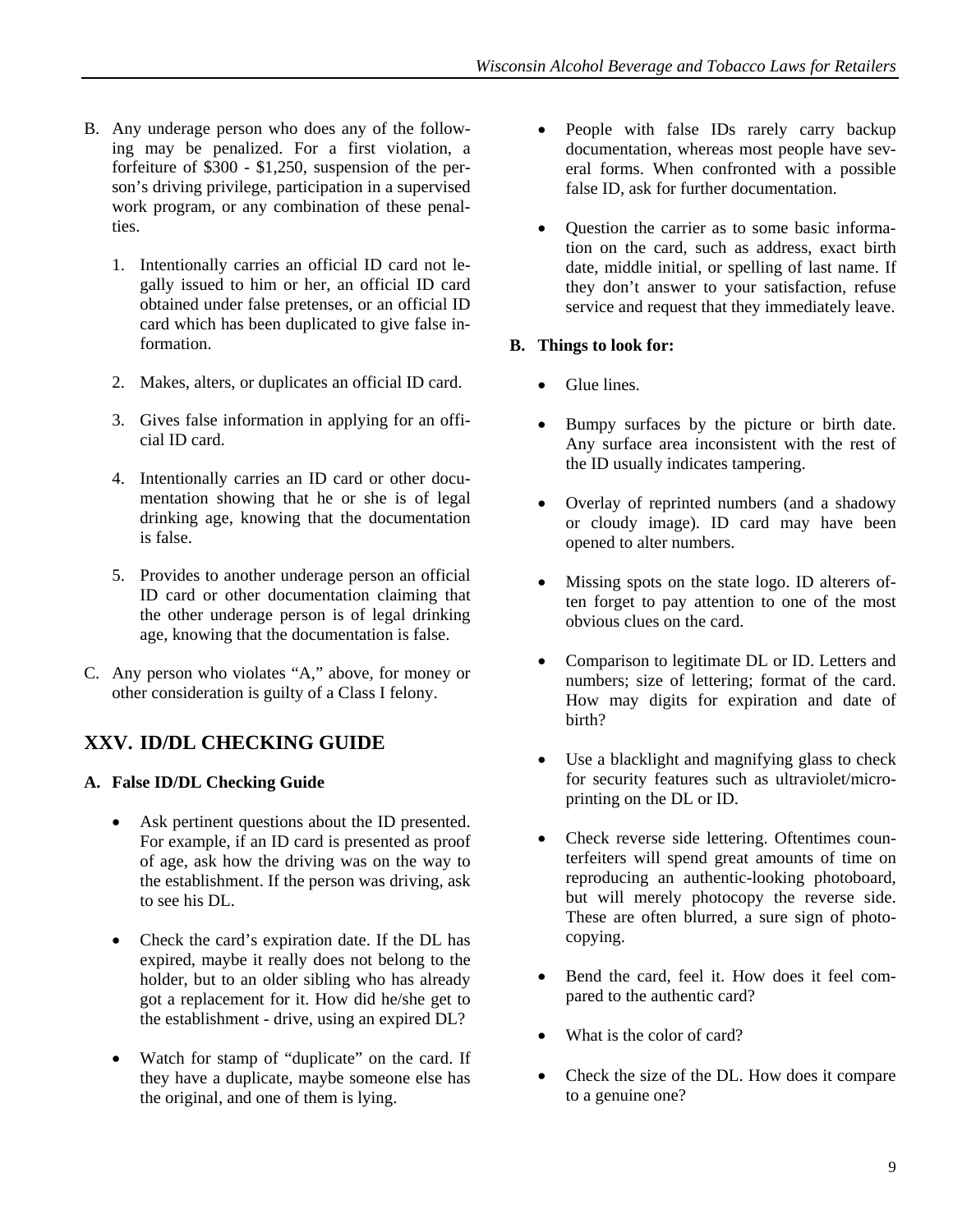- <span id="page-10-2"></span>B. Any underage person who does any of the following may be penalized. For a first violation, a forfeiture of \$300 - \$1,250, suspension of the person's driving privilege, participation in a supervised work program, or any combination of these penalties.
	- 1. Intentionally carries an official ID card not legally issued to him or her, an official ID card obtained under false pretenses, or an official ID card which has been duplicated to give false information.
	- 2. Makes, alters, or duplicates an official ID card.
	- 3. Gives false information in applying for an official ID card.
	- 4. Intentionally carries an ID card or other documentation showing that he or she is of legal drinking age, knowing that the documentation is false.
	- 5. Provides to another underage person an official ID card or other documentation claiming that the other underage person is of legal drinking age, knowing that the documentation is false.
- C. Any person who violates "A," above, for money or other consideration is guilty of a Class I felony.

# <span id="page-10-0"></span>**XXV. ID/DL CHECKING GUIDE**

#### <span id="page-10-1"></span>**A. False ID/DL Checking Guide**

- Ask pertinent questions about the ID presented. For example, if an ID card is presented as proof of age, ask how the driving was on the way to the establishment. If the person was driving, ask to see his DL.
- Check the card's expiration date. If the DL has expired, maybe it really does not belong to the holder, but to an older sibling who has already got a replacement for it. How did he/she get to the establishment - drive, using an expired DL?
- Watch for stamp of "duplicate" on the card. If they have a duplicate, maybe someone else has the original, and one of them is lying.
- People with false IDs rarely carry backup documentation, whereas most people have several forms. When confronted with a possible false ID, ask for further documentation.
- Question the carrier as to some basic information on the card, such as address, exact birth date, middle initial, or spelling of last name. If they don't answer to your satisfaction, refuse service and request that they immediately leave.

#### **B. Things to look for:**

- Glue lines.
- Bumpy surfaces by the picture or birth date. Any surface area inconsistent with the rest of the ID usually indicates tampering.
- Overlay of reprinted numbers (and a shadowy or cloudy image). ID card may have been opened to alter numbers.
- Missing spots on the state logo. ID alterers often forget to pay attention to one of the most obvious clues on the card.
- Comparison to legitimate DL or ID. Letters and numbers; size of lettering; format of the card. How may digits for expiration and date of birth?
- Use a blacklight and magnifying glass to check for security features such as ultraviolet/microprinting on the DL or ID.
- Check reverse side lettering. Oftentimes counterfeiters will spend great amounts of time on reproducing an authentic-looking photoboard, but will merely photocopy the reverse side. These are often blurred, a sure sign of photocopying.
- Bend the card, feel it. How does it feel compared to the authentic card?
- What is the color of card?
- Check the size of the DL. How does it compare to a genuine one?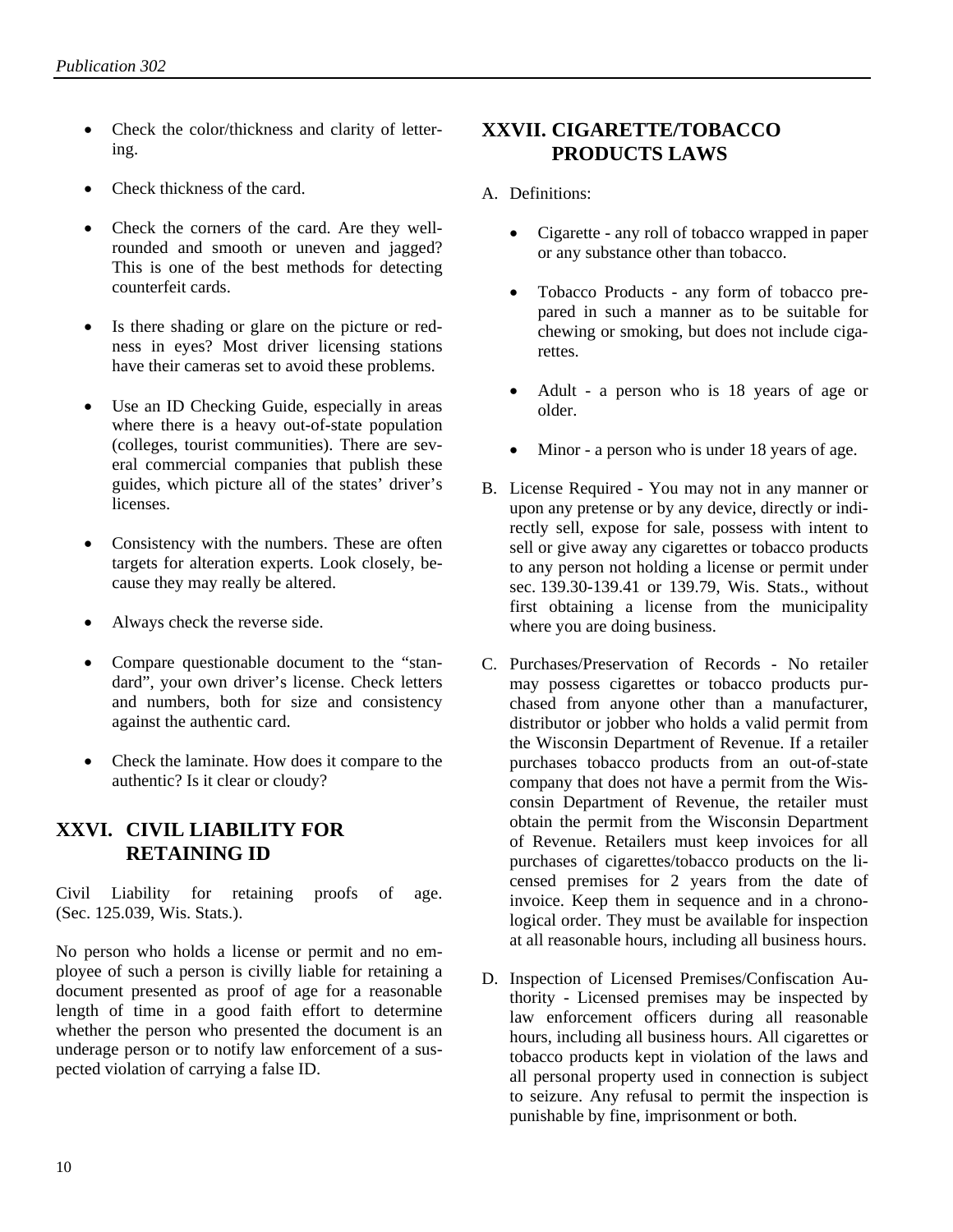- <span id="page-11-1"></span>• Check the color/thickness and clarity of lettering.
- Check thickness of the card.
- Check the corners of the card. Are they wellrounded and smooth or uneven and jagged? This is one of the best methods for detecting counterfeit cards.
- Is there shading or glare on the picture or redness in eyes? Most driver licensing stations have their cameras set to avoid these problems.
- Use an ID Checking Guide, especially in areas where there is a heavy out-of-state population (colleges, tourist communities). There are several commercial companies that publish these guides, which picture all of the states' driver's licenses.
- Consistency with the numbers. These are often targets for alteration experts. Look closely, because they may really be altered.
- Always check the reverse side.
- Compare questionable document to the "standard", your own driver's license. Check letters and numbers, both for size and consistency against the authentic card.
- Check the laminate. How does it compare to the authentic? Is it clear or cloudy?

## <span id="page-11-0"></span>**XXVI. CIVIL LIABILITY FOR RETAINING ID**

Civil Liability for retaining proofs of age. (Sec. 125.039, Wis. Stats.).

No person who holds a license or permit and no employee of such a person is civilly liable for retaining a document presented as proof of age for a reasonable length of time in a good faith effort to determine whether the person who presented the document is an underage person or to notify law enforcement of a suspected violation of carrying a false ID.

# **XXVII. CIGARETTE/TOBACCO PRODUCTS LAWS**

- A. Definitions:
	- Cigarette any roll of tobacco wrapped in paper or any substance other than tobacco.
	- Tobacco Products any form of tobacco prepared in such a manner as to be suitable for chewing or smoking, but does not include cigarettes.
	- Adult a person who is 18 years of age or older.
	- Minor a person who is under 18 years of age.
- B. License Required You may not in any manner or upon any pretense or by any device, directly or indirectly sell, expose for sale, possess with intent to sell or give away any cigarettes or tobacco products to any person not holding a license or permit under sec. 139.30-139.41 or 139.79, Wis. Stats., without first obtaining a license from the municipality where you are doing business.
- C. Purchases/Preservation of Records No retailer may possess cigarettes or tobacco products purchased from anyone other than a manufacturer, distributor or jobber who holds a valid permit from the Wisconsin Department of Revenue. If a retailer purchases tobacco products from an out-of-state company that does not have a permit from the Wisconsin Department of Revenue, the retailer must obtain the permit from the Wisconsin Department of Revenue. Retailers must keep invoices for all purchases of cigarettes/tobacco products on the licensed premises for 2 years from the date of invoice. Keep them in sequence and in a chronological order. They must be available for inspection at all reasonable hours, including all business hours.
- D. Inspection of Licensed Premises/Confiscation Authority - Licensed premises may be inspected by law enforcement officers during all reasonable hours, including all business hours. All cigarettes or tobacco products kept in violation of the laws and all personal property used in connection is subject to seizure. Any refusal to permit the inspection is punishable by fine, imprisonment or both.